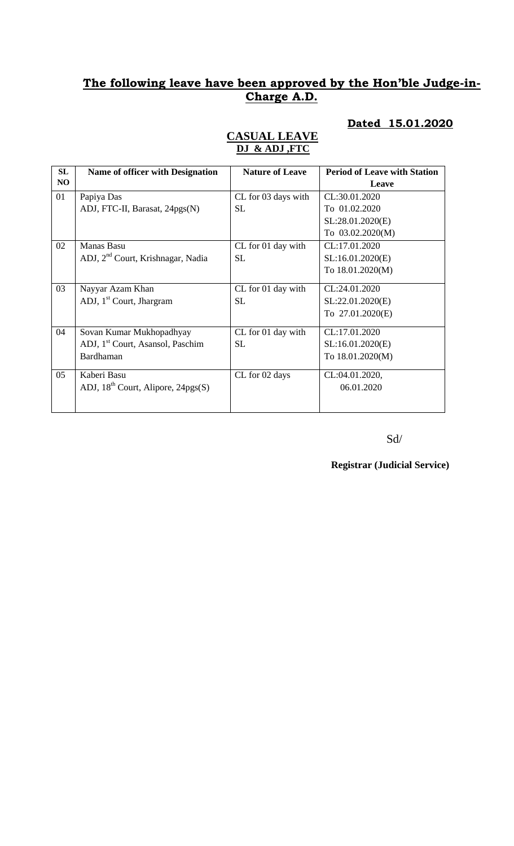#### **Dated 15.01.2020**

### **CASUAL LEAVE DJ & ADJ ,FTC**

| SL | <b>Name of officer with Designation</b>        | <b>Nature of Leave</b> | <b>Period of Leave with Station</b> |
|----|------------------------------------------------|------------------------|-------------------------------------|
| NO |                                                |                        | Leave                               |
| 01 | Papiya Das                                     | CL for 03 days with    | CL:30.01.2020                       |
|    | ADJ, FTC-II, Barasat, 24pgs(N)                 | SL.                    | To 01.02.2020                       |
|    |                                                |                        | SL:28.01.2020(E)                    |
|    |                                                |                        | To 03.02.2020(M)                    |
| 02 | Manas Basu                                     | CL for 01 day with     | CL:17.01.2020                       |
|    | ADJ, 2 <sup>nd</sup> Court, Krishnagar, Nadia  | <b>SL</b>              | SL:16.01.2020(E)                    |
|    |                                                |                        | To 18.01.2020(M)                    |
| 03 | Nayyar Azam Khan                               | CL for 01 day with     | CL:24.01.2020                       |
|    | ADJ, $1st$ Court, Jhargram                     | <b>SL</b>              | SL:22.01.2020(E)                    |
|    |                                                |                        | To 27.01.2020(E)                    |
| 04 | Sovan Kumar Mukhopadhyay                       | CL for 01 day with     | CL:17.01.2020                       |
|    | ADJ, 1 <sup>st</sup> Court, Asansol, Paschim   | <b>SL</b>              | SL:16.01.2020(E)                    |
|    | Bardhaman                                      |                        | To 18.01.2020(M)                    |
| 05 | Kaberi Basu                                    | CL for 02 days         | CL:04.01.2020,                      |
|    | ADJ, 18 <sup>th</sup> Court, Alipore, 24pgs(S) |                        | 06.01.2020                          |
|    |                                                |                        |                                     |

#### Sd/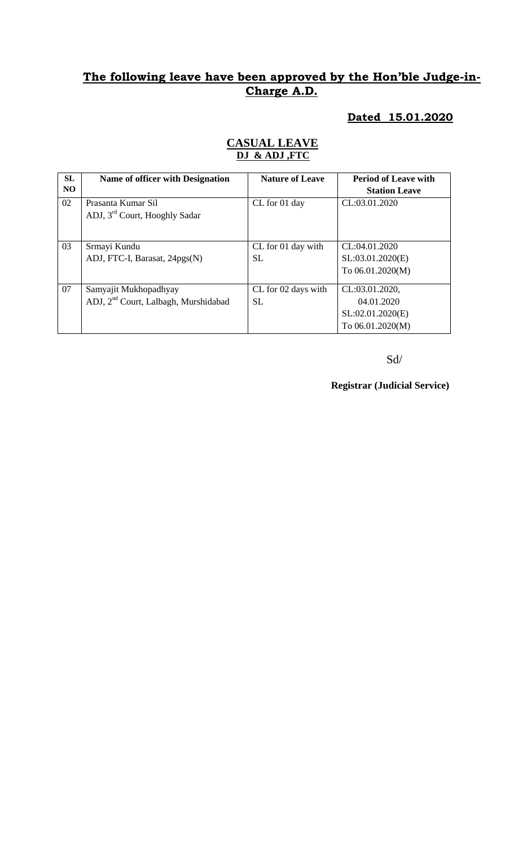#### **Dated 15.01.2020**

| <b>SL</b>      | <b>Name of officer with Designation</b>          | <b>Nature of Leave</b> | <b>Period of Leave with</b> |
|----------------|--------------------------------------------------|------------------------|-----------------------------|
| N <sub>O</sub> |                                                  |                        | <b>Station Leave</b>        |
| 02             | Prasanta Kumar Sil                               | CL for 01 day          | CL:03.01.2020               |
|                | ADJ, 3 <sup>rd</sup> Court, Hooghly Sadar        |                        |                             |
|                |                                                  |                        |                             |
| 03             | Srmayi Kundu                                     | CL for 01 day with     | CL:04.01.2020               |
|                | ADJ, FTC-I, Barasat, 24pgs(N)                    | <b>SL</b>              | SL:03.01.2020(E)            |
|                |                                                  |                        | To 06.01.2020(M)            |
|                |                                                  |                        |                             |
| 07             | Samyajit Mukhopadhyay                            | CL for 02 days with    | CL:03.01.2020,              |
|                | ADJ, 2 <sup>nd</sup> Court, Lalbagh, Murshidabad | <b>SL</b>              | 04.01.2020                  |
|                |                                                  |                        | SL:02.01.2020(E)            |
|                |                                                  |                        | To $06.01.2020(M)$          |

# **CASUAL LEAVE DJ & ADJ ,FTC**

Sd/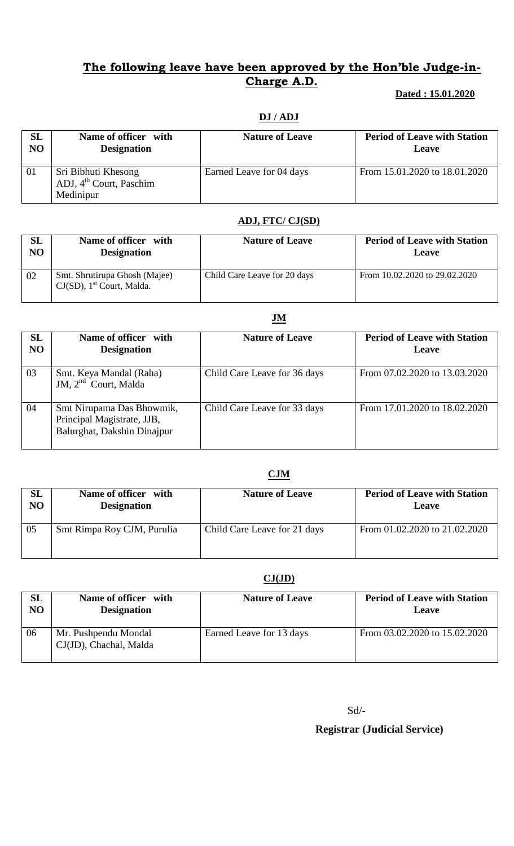#### **Dated : 15.01.2020**

### **DJ / ADJ**

| SL | Name of officer with                                                    | <b>Nature of Leave</b>   | <b>Period of Leave with Station</b> |
|----|-------------------------------------------------------------------------|--------------------------|-------------------------------------|
| NO | <b>Designation</b>                                                      |                          | <b>Leave</b>                        |
| 01 | Sri Bibhuti Khesong<br>ADJ, $4^{\text{th}}$ Court, Paschim<br>Medinipur | Earned Leave for 04 days | From 15.01.2020 to 18.01.2020       |

### **ADJ, FTC/ CJ(SD)**

| SL | Name of officer with                                                      | <b>Nature of Leave</b>       | <b>Period of Leave with Station</b> |
|----|---------------------------------------------------------------------------|------------------------------|-------------------------------------|
| NO | <b>Designation</b>                                                        |                              | Leave                               |
| 02 | Smt. Shrutirupa Ghosh (Majee)<br>$CJ(SD)$ , 1 <sup>st</sup> Court, Malda. | Child Care Leave for 20 days | From 10.02.2020 to 29.02.2020       |

#### **JM**

| SL<br>NO. | Name of officer with<br><b>Designation</b>                                             | <b>Nature of Leave</b>       | <b>Period of Leave with Station</b><br>Leave |
|-----------|----------------------------------------------------------------------------------------|------------------------------|----------------------------------------------|
| 03        | Smt. Keya Mandal (Raha)<br>JM, $2nd$ Court, Malda                                      | Child Care Leave for 36 days | From 07.02.2020 to 13.03.2020                |
| 04        | Smt Nirupama Das Bhowmik,<br>Principal Magistrate, JJB,<br>Balurghat, Dakshin Dinajpur | Child Care Leave for 33 days | From 17.01.2020 to 18.02.2020                |

#### **CJM**

| $\rm SL$ | Name of officer with       | <b>Nature of Leave</b>       | <b>Period of Leave with Station</b> |
|----------|----------------------------|------------------------------|-------------------------------------|
| NO       | <b>Designation</b>         |                              | Leave                               |
| 05       | Smt Rimpa Roy CJM, Purulia | Child Care Leave for 21 days | From 01.02.2020 to 21.02.2020       |

#### **CJ(JD)**

| SL             | Name of officer with                           | <b>Nature of Leave</b>   | <b>Period of Leave with Station</b> |
|----------------|------------------------------------------------|--------------------------|-------------------------------------|
| N <sub>O</sub> | <b>Designation</b>                             |                          | <b>Leave</b>                        |
| 06             | Mr. Pushpendu Mondal<br>CJ(JD), Chachal, Malda | Earned Leave for 13 days | From 03.02.2020 to 15.02.2020       |

Sd/-